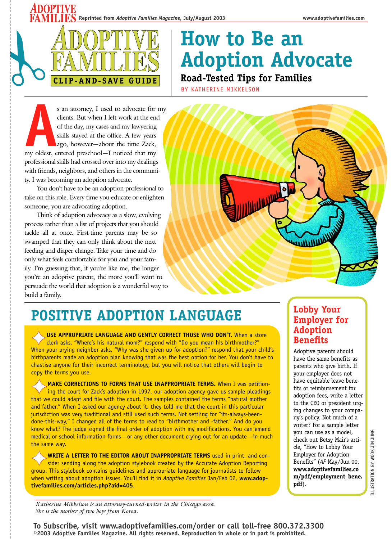

# **How to Be an Adoption Advocate Road-Tested Tips for Families**

BY KATHERINE MIKKELSON

**As an attorney, I used to advocate for my clients. But when I left work at the end of the day, my cases and my lawyering skills stayed at the office. A few years ago, however—about the time Zack, my oldest, entered presch** clients. But when I left work at the end of the day, my cases and my lawyering skills stayed at the office. A few years ago, however—about the time Zack, professional skills had crossed over into my dealings with friends, neighbors, and others in the community. I was becoming an adoption advocate.

You don't have to be an adoption professional to take on this role. Every time you educate or enlighten someone, you are advocating adoption.

Think of adoption advocacy as a slow, evolving process rather than a list of projects that you should tackle all at once. First-time parents may be so swamped that they can only think about the next feeding and diaper change. Take your time and do only what feels comfortable for you and your family. I'm guessing that, if you're like me, the longer you're an adoptive parent, the more you'll want to persuade the world that adoption is a wonderful way to build a family.



# **POSITIVE ADOPTION LANGUAGE**

USE APPROPRIATE LANGUAGE AND GENTLY CORRECT THOSE WHO DON'T. When a store<br>clerk asks, "Where's his natural mom?" respond with "Do you mean his birthmother?"

When your prying neighbor asks, "Why was she given up for adoption?" respond that your child's birthparents made an adoption plan knowing that was the best option for her. You don't have to chastise anyone for their incorrect terminology, but you will notice that others will begin to copy the terms you use.

**MAKE CORRECTIONS TO FORMS THAT USE INAPPROPRIATE TERMS.** When I was petitioning the court for Zack's adoption in 1997, our adoption agency gave us sample pleadings that we could adapt and file with the court. The samples contained the terms "natural mother and father." When I asked our agency about it, they told me that the court in this particular jurisdiction was very traditional and still used such terms. Not settling for "its-always-beendone-this-way," I changed all of the terms to read to "birthmother and -father." And do you know what? The judge signed the final order of adoption with my modifications. You can emend medical or school information forms—or any other document crying out for an update—in much the same way.

✦**WRITE A LETTER TO THE EDITOR ABOUT INAPPROPRIATE TERMS** used in print, and con-sider sending along the adoption stylebook created by the Accurate Adoption Reporting group. This stylebook contains guidelines and appropriate language for journalists to follow when writing about adoption issues. You'll find it in *Adoptive Families* Jan/Feb 02, **www.adoptivefamilies.com/articles.php?aid=405**.

### **Lobby Your Employer for Adoption Benefits**

Adoptive parents should have the same benefits as parents who give birth. If your employer does not have equitable leave benefits or reimbursement for adoption fees, write a letter to the CEO or president urging changes to your company's policy. Not much of a writer? For a sample letter you can use as a model, check out Betsy Mair's article, "How to Lobby Your Employer for Adoption Benefits" (*AF* May/Jun 00, **www.adoptivefamilies.co m/pdf/employment\_bene. pdf**).

**ILLUSTRATION BY WOOK JIN JUNG** ILLUSTRATION BY WOOK JIN JUNG

*Katherine Mikkelson is an attorney-turned-writer in the Chicago area. She is the mother of two boys from Korea.*

**To Subscribe, visit www.adoptivefamilies.com/order or call toll-free 800.372.3300 ©2003 Adoptive Families Magazine. All rights reserved. Reproduction in whole or in part is prohibited.**